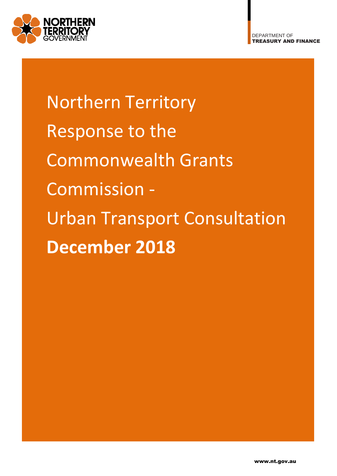

Northern Territory Response to the Commonwealth Grants Commission - Urban Transport Consultation **December 2018**